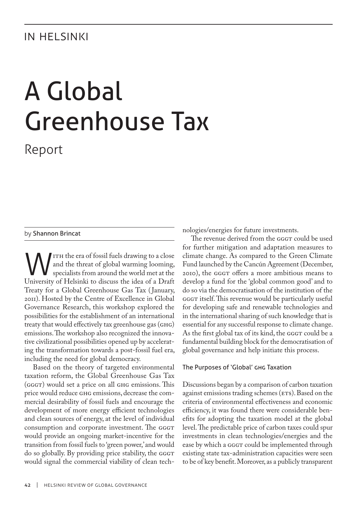# **IN HELSINKI**

# A Global Greenhouse Tax

Report

## by Shannon Brincat

ITH the era of fossil fuels drawing to a close and the threat of global warming looming, specialists from around the world met at the University of Helsinki to discuss the idea of a Draft Treaty for a Global Greenhouse Gas Tax ( January, 2011). Hosted by the Centre of Excellence in Global Governance Research, this workshop explored the possibilities for the establishment of an international treaty that would effectively tax greenhouse gas (GHG) emissions. The workshop also recognized the innovative civilizational possibilities opened up by accelerating the transformation towards a post-fossil fuel era, including the need for global democracy.

Based on the theory of targeted environmental taxation reform, the Global Greenhouse Gas Tax (GGGT) would set a price on all GHG emissions. This price would reduce ghg emissions, decrease the commercial desirability of fossil fuels and encourage the development of more energy efficient technologies and clean sources of energy, at the level of individual consumption and corporate investment. The GGGT would provide an ongoing market-incentive for the transition from fossil fuels to 'green power,' and would do so globally. By providing price stability, the GGGT would signal the commercial viability of clean technologies/energies for future investments.

The revenue derived from the GGGT could be used for further mitigation and adaptation measures to climate change. As compared to the Green Climate Fund launched by the Cancún Agreement (December, 2010), the GGGT offers a more ambitious means to develop a fund for the 'global common good' and to do so via the democratisation of the institution of the GGGT itself. This revenue would be particularly useful for developing safe and renewable technologies and in the international sharing of such knowledge that is essential for any successful response to climate change. As the first global tax of its kind, the GGGT could be a fundamental building block for the democratisation of global governance and help initiate this process.

#### The Purposes of 'Global' GHG Taxation

Discussions began by a comparison of carbon taxation against emissions trading schemes (ETS). Based on the criteria of environmental effectiveness and economic efficiency, it was found there were considerable benefits for adopting the taxation model at the global level. The predictable price of carbon taxes could spur investments in clean technologies/energies and the ease by which a GGGT could be implemented through existing state tax-administration capacities were seen to be of key benefit. Moreover, as a publicly transparent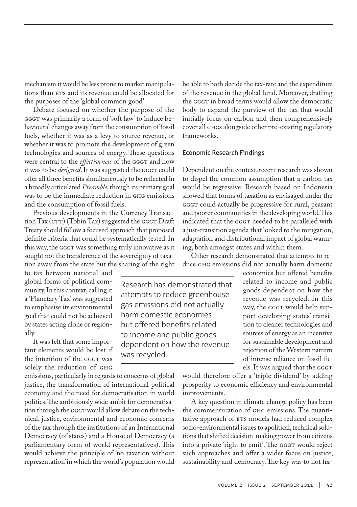mechanism it would be less prone to market manipulations than ETS and its revenue could be allocated for the purposes of the 'global common good'.

Debate focused on whether the purpose of the gggt was primarily a form of 'soft law' to induce behavioural changes away from the consumption of fossil fuels, whether it was as a levy to source revenue, or whether it was to promote the development of green technologies and sources of energy. These questions were central to the *effectiveness* of the GGGT and how it was to be *designed*. It was suggested the GGGT could offer all three benefits simultaneously to be reflected in a broadly articulated *Preamble*, though its primary goal was to be the immediate reduction in ghg emissions and the consumption of fossil fuels.

Previous developments in the Currency Transac- $\frac{1}{\pi}$ tion Tax $\frac{1}{\pi}$  (Tobin Tax) suggested the gggr Draft Treaty should follow a focused approach that proposed definite criteria that could be systematically tested. In this way, the GGGT was something truly innovative as it sought not the transference of the sovereignty of taxation away from the state but the sharing of the right

to tax between national and global forms of political community. In this context, calling it a 'Planetary Tax' was suggested to emphasise its environmental goal that could not be achieved by states acting alone or regionally.

It was felt that some important elements would be lost if the intention of the GGGT was solely the reduction of GHG

emissions, particularly in regards to concerns of global justice, the transformation of international political economy and the need for democratisation in world politics. The ambitiously wide ambit for democratisation through the GGGT would allow debate on the technical, justice, environmental and economic concerns of the tax through the institutions of an International Democracy (of states) and a House of Democracy (a parliamentary form of world representatives). This would achieve the principle of 'no taxation without representation' in which the world's population would

be able to both decide the tax-rate and the expenditure of the revenue in the global fund. Moreover, drafting the GGGT in broad terms would allow the democratic body to expand the purview of the tax that would initially focus on carbon and then comprehensively cover all GHGs alongside other pre-existing regulatory frameworks.

# Economic Research Findings

Dependent on the context, recent research was shown to dispel the common assumption that a carbon tax would be regressive. Research based on Indonesia showed that forms of taxation as envisaged under the gggt could actually be progressive for rural, peasant and poorer communities in the developing world. This indicated that the GGGT needed to be paralleled with a just-transition agenda that looked to the mitigation, adaptation and distributional impact of global warming, both amongst states and within them.

Other research demonstrated that attempts to reduce ghg emissions did not actually harm domestic

Research has demonstrated that attempts to reduce greenhouse gas emissions did not actually harm domestic economies but offered benefits related to income and public goods dependent on how the revenue was recycled.

economies but offered benefits related to income and public goods dependent on how the revenue was recycled. In this way, the GGGT would help support developing states' transition to cleaner technologies and sources of energy as an incentive for sustainable development and rejection of the Western pattern of intense reliance on fossil fuels. It was argued that the GGGT

would therefore offer a 'triple dividend' by adding prosperity to economic efficiency and environmental improvements.

A key question in climate change policy has been the commensuration of GHG emissions. The quantitative approach of ETS models had reduced complex socio-environmental issues to apolitical, technical solutions that shifted decision-making power from citizens into a private 'right to emit'. The GGGT would reject such approaches and offer a wider focus on justice, sustainability and democracy. The key was to not fix